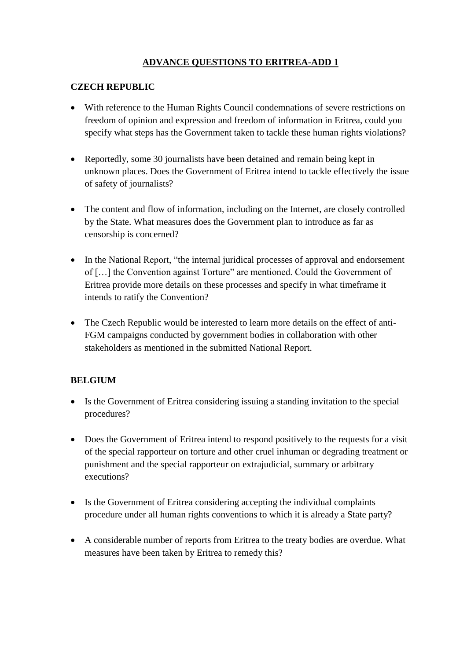# **ADVANCE QUESTIONS TO ERITREA-ADD 1**

#### **CZECH REPUBLIC**

- With reference to the Human Rights Council condemnations of severe restrictions on freedom of opinion and expression and freedom of information in Eritrea, could you specify what steps has the Government taken to tackle these human rights violations?
- Reportedly, some 30 journalists have been detained and remain being kept in unknown places. Does the Government of Eritrea intend to tackle effectively the issue of safety of journalists?
- The content and flow of information, including on the Internet, are closely controlled by the State. What measures does the Government plan to introduce as far as censorship is concerned?
- In the National Report, "the internal juridical processes of approval and endorsement of […] the Convention against Torture" are mentioned. Could the Government of Eritrea provide more details on these processes and specify in what timeframe it intends to ratify the Convention?
- The Czech Republic would be interested to learn more details on the effect of anti-FGM campaigns conducted by government bodies in collaboration with other stakeholders as mentioned in the submitted National Report.

### **BELGIUM**

- Is the Government of Eritrea considering issuing a standing invitation to the special procedures?
- Does the Government of Eritrea intend to respond positively to the requests for a visit of the special rapporteur on torture and other cruel inhuman or degrading treatment or punishment and the special rapporteur on extrajudicial, summary or arbitrary executions?
- Is the Government of Eritrea considering accepting the individual complaints procedure under all human rights conventions to which it is already a State party?
- A considerable number of reports from Eritrea to the treaty bodies are overdue. What measures have been taken by Eritrea to remedy this?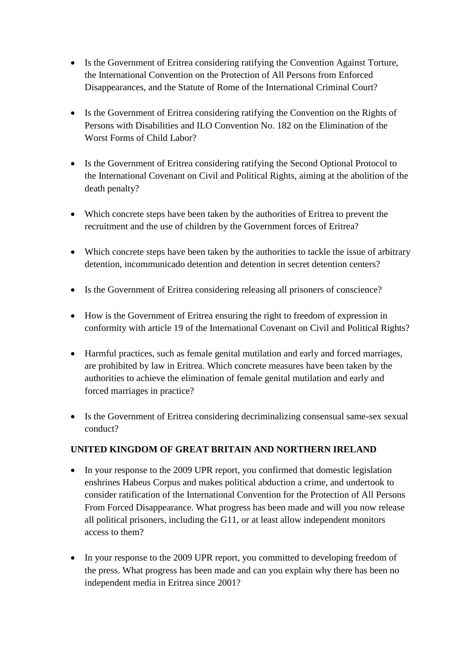- Is the Government of Eritrea considering ratifying the Convention Against Torture, the International Convention on the Protection of All Persons from Enforced Disappearances, and the Statute of Rome of the International Criminal Court?
- Is the Government of Eritrea considering ratifying the Convention on the Rights of Persons with Disabilities and ILO Convention No. 182 on the Elimination of the Worst Forms of Child Labor?
- Is the Government of Eritrea considering ratifying the Second Optional Protocol to the International Covenant on Civil and Political Rights, aiming at the abolition of the death penalty?
- Which concrete steps have been taken by the authorities of Eritrea to prevent the recruitment and the use of children by the Government forces of Eritrea?
- Which concrete steps have been taken by the authorities to tackle the issue of arbitrary detention, incommunicado detention and detention in secret detention centers?
- Is the Government of Eritrea considering releasing all prisoners of conscience?
- How is the Government of Eritrea ensuring the right to freedom of expression in conformity with article 19 of the International Covenant on Civil and Political Rights?
- Harmful practices, such as female genital mutilation and early and forced marriages, are prohibited by law in Eritrea. Which concrete measures have been taken by the authorities to achieve the elimination of female genital mutilation and early and forced marriages in practice?
- Is the Government of Eritrea considering decriminalizing consensual same-sex sexual conduct?

### **UNITED KINGDOM OF GREAT BRITAIN AND NORTHERN IRELAND**

- In your response to the 2009 UPR report, you confirmed that domestic legislation enshrines Habeus Corpus and makes political abduction a crime, and undertook to consider ratification of the International Convention for the Protection of All Persons From Forced Disappearance. What progress has been made and will you now release all political prisoners, including the G11, or at least allow independent monitors access to them?
- In your response to the 2009 UPR report, you committed to developing freedom of the press. What progress has been made and can you explain why there has been no independent media in Eritrea since 2001?